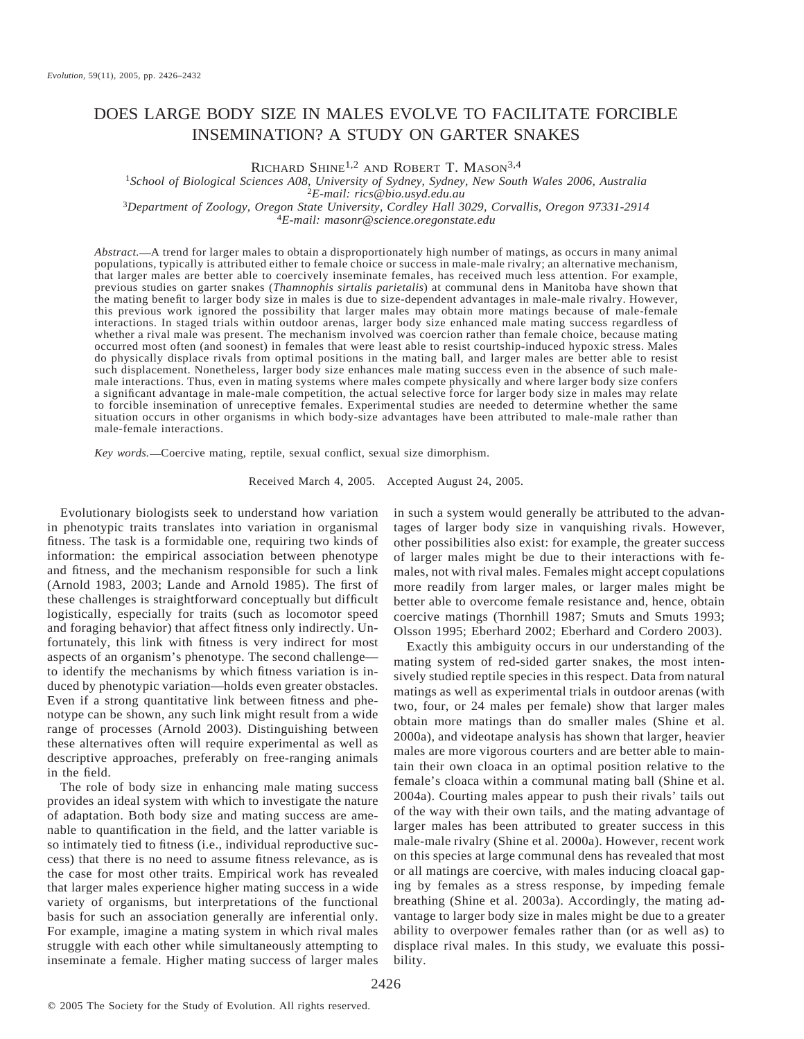# DOES LARGE BODY SIZE IN MALES EVOLVE TO FACILITATE FORCIBLE INSEMINATION? A STUDY ON GARTER SNAKES

RICHARD SHINE<sup>1,2</sup> AND ROBERT T. MASON<sup>3,4</sup><br><sup>1</sup>School of Biological Sciences A08, University of Sydney, Sydney, New South Wales 2006, Australia

<sup>2</sup>E-mail: rics@bio.usyd.edu.au<br><sup>3</sup>Department of Zoology, Oregon State University, Cordley Hall 3029, Corvallis, Oregon 97331-2914<br><sup>4</sup>E-mail: masonr@science.oregonstate.edu

*Abstract.* A trend for larger males to obtain a disproportionately high number of matings, as occurs in many animal populations, typically is attributed either to female choice or success in male-male rivalry; an alternative mechanism, that larger males are better able to coercively inseminate females, has received much less attention. For example, previous studies on garter snakes (*Thamnophis sirtalis parietalis*) at communal dens in Manitoba have shown that the mating benefit to larger body size in males is due to size-dependent advantages in male-male rivalry. However, this previous work ignored the possibility that larger males may obtain more matings because of male-female interactions. In staged trials within outdoor arenas, larger body size enhanced male mating success regardless of whether a rival male was present. The mechanism involved was coercion rather than female choice, because mating occurred most often (and soonest) in females that were least able to resist courtship-induced hypoxic stress. Males do physically displace rivals from optimal positions in the mating ball, and larger males are better able to resist such displacement. Nonetheless, larger body size enhances male mating success even in the absence of such malemale interactions. Thus, even in mating systems where males compete physically and where larger body size confers a significant advantage in male-male competition, the actual selective force for larger body size in males may relate to forcible insemination of unreceptive females. Experimental studies are needed to determine whether the same situation occurs in other organisms in which body-size advantages have been attributed to male-male rather than male-female interactions.

*Key words.* Coercive mating, reptile, sexual conflict, sexual size dimorphism.

Received March 4, 2005. Accepted August 24, 2005.

Evolutionary biologists seek to understand how variation in phenotypic traits translates into variation in organismal fitness. The task is a formidable one, requiring two kinds of information: the empirical association between phenotype and fitness, and the mechanism responsible for such a link (Arnold 1983, 2003; Lande and Arnold 1985). The first of these challenges is straightforward conceptually but difficult logistically, especially for traits (such as locomotor speed and foraging behavior) that affect fitness only indirectly. Unfortunately, this link with fitness is very indirect for most aspects of an organism's phenotype. The second challenge to identify the mechanisms by which fitness variation is induced by phenotypic variation—holds even greater obstacles. Even if a strong quantitative link between fitness and phenotype can be shown, any such link might result from a wide range of processes (Arnold 2003). Distinguishing between these alternatives often will require experimental as well as descriptive approaches, preferably on free-ranging animals in the field.

The role of body size in enhancing male mating success provides an ideal system with which to investigate the nature of adaptation. Both body size and mating success are amenable to quantification in the field, and the latter variable is so intimately tied to fitness (i.e., individual reproductive success) that there is no need to assume fitness relevance, as is the case for most other traits. Empirical work has revealed that larger males experience higher mating success in a wide variety of organisms, but interpretations of the functional basis for such an association generally are inferential only. For example, imagine a mating system in which rival males struggle with each other while simultaneously attempting to inseminate a female. Higher mating success of larger males in such a system would generally be attributed to the advantages of larger body size in vanquishing rivals. However, other possibilities also exist: for example, the greater success of larger males might be due to their interactions with females, not with rival males. Females might accept copulations more readily from larger males, or larger males might be better able to overcome female resistance and, hence, obtain coercive matings (Thornhill 1987; Smuts and Smuts 1993; Olsson 1995; Eberhard 2002; Eberhard and Cordero 2003).

Exactly this ambiguity occurs in our understanding of the mating system of red-sided garter snakes, the most intensively studied reptile species in this respect. Data from natural matings as well as experimental trials in outdoor arenas (with two, four, or 24 males per female) show that larger males obtain more matings than do smaller males (Shine et al. 2000a), and videotape analysis has shown that larger, heavier males are more vigorous courters and are better able to maintain their own cloaca in an optimal position relative to the female's cloaca within a communal mating ball (Shine et al. 2004a). Courting males appear to push their rivals' tails out of the way with their own tails, and the mating advantage of larger males has been attributed to greater success in this male-male rivalry (Shine et al. 2000a). However, recent work on this species at large communal dens has revealed that most or all matings are coercive, with males inducing cloacal gaping by females as a stress response, by impeding female breathing (Shine et al. 2003a). Accordingly, the mating advantage to larger body size in males might be due to a greater ability to overpower females rather than (or as well as) to displace rival males. In this study, we evaluate this possibility.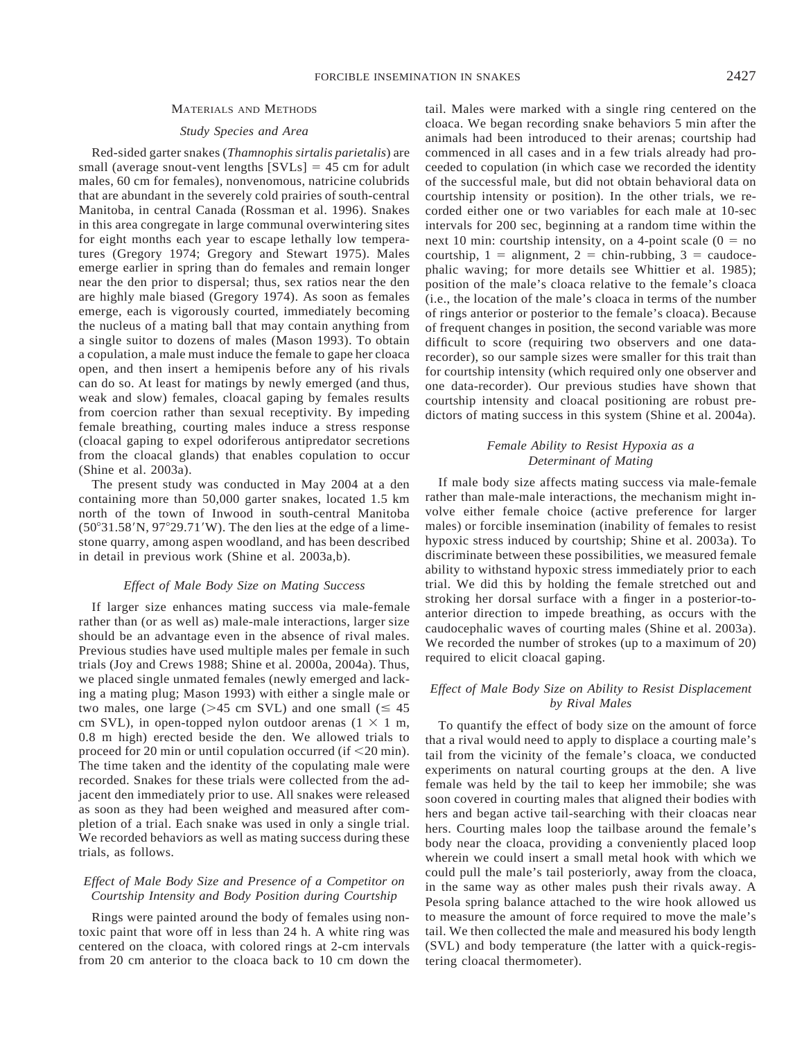#### MATERIALS AND METHODS

#### *Study Species and Area*

Red-sided garter snakes (*Thamnophis sirtalis parietalis*) are small (average snout-vent lengths  $[SVLs] = 45$  cm for adult males, 60 cm for females), nonvenomous, natricine colubrids that are abundant in the severely cold prairies of south-central Manitoba, in central Canada (Rossman et al. 1996). Snakes in this area congregate in large communal overwintering sites for eight months each year to escape lethally low temperatures (Gregory 1974; Gregory and Stewart 1975). Males emerge earlier in spring than do females and remain longer near the den prior to dispersal; thus, sex ratios near the den are highly male biased (Gregory 1974). As soon as females emerge, each is vigorously courted, immediately becoming the nucleus of a mating ball that may contain anything from a single suitor to dozens of males (Mason 1993). To obtain a copulation, a male must induce the female to gape her cloaca open, and then insert a hemipenis before any of his rivals can do so. At least for matings by newly emerged (and thus, weak and slow) females, cloacal gaping by females results from coercion rather than sexual receptivity. By impeding female breathing, courting males induce a stress response (cloacal gaping to expel odoriferous antipredator secretions from the cloacal glands) that enables copulation to occur (Shine et al. 2003a).

The present study was conducted in May 2004 at a den containing more than 50,000 garter snakes, located 1.5 km north of the town of Inwood in south-central Manitoba  $(50°31.58'N, 97°29.71'W)$ . The den lies at the edge of a limestone quarry, among aspen woodland, and has been described in detail in previous work (Shine et al. 2003a,b).

# *Effect of Male Body Size on Mating Success*

If larger size enhances mating success via male-female rather than (or as well as) male-male interactions, larger size should be an advantage even in the absence of rival males. Previous studies have used multiple males per female in such trials (Joy and Crews 1988; Shine et al. 2000a, 2004a). Thus, we placed single unmated females (newly emerged and lacking a mating plug; Mason 1993) with either a single male or two males, one large ( $>45$  cm SVL) and one small ( $\leq 45$ ) cm SVL), in open-topped nylon outdoor arenas  $(1 \times 1$  m, 0.8 m high) erected beside the den. We allowed trials to proceed for 20 min or until copulation occurred (if  $\leq$ 20 min). The time taken and the identity of the copulating male were recorded. Snakes for these trials were collected from the adjacent den immediately prior to use. All snakes were released as soon as they had been weighed and measured after completion of a trial. Each snake was used in only a single trial. We recorded behaviors as well as mating success during these trials, as follows.

# *Effect of Male Body Size and Presence of a Competitor on Courtship Intensity and Body Position during Courtship*

Rings were painted around the body of females using nontoxic paint that wore off in less than 24 h. A white ring was centered on the cloaca, with colored rings at 2-cm intervals from 20 cm anterior to the cloaca back to 10 cm down the

tail. Males were marked with a single ring centered on the cloaca. We began recording snake behaviors 5 min after the animals had been introduced to their arenas; courtship had commenced in all cases and in a few trials already had proceeded to copulation (in which case we recorded the identity of the successful male, but did not obtain behavioral data on courtship intensity or position). In the other trials, we recorded either one or two variables for each male at 10-sec intervals for 200 sec, beginning at a random time within the next 10 min: courtship intensity, on a 4-point scale  $(0 = no$ courtship,  $1 =$  alignment,  $2 =$  chin-rubbing,  $3 =$  caudocephalic waving; for more details see Whittier et al. 1985); position of the male's cloaca relative to the female's cloaca (i.e., the location of the male's cloaca in terms of the number of rings anterior or posterior to the female's cloaca). Because of frequent changes in position, the second variable was more difficult to score (requiring two observers and one datarecorder), so our sample sizes were smaller for this trait than for courtship intensity (which required only one observer and one data-recorder). Our previous studies have shown that courtship intensity and cloacal positioning are robust predictors of mating success in this system (Shine et al. 2004a).

# *Female Ability to Resist Hypoxia as a Determinant of Mating*

If male body size affects mating success via male-female rather than male-male interactions, the mechanism might involve either female choice (active preference for larger males) or forcible insemination (inability of females to resist hypoxic stress induced by courtship; Shine et al. 2003a). To discriminate between these possibilities, we measured female ability to withstand hypoxic stress immediately prior to each trial. We did this by holding the female stretched out and stroking her dorsal surface with a finger in a posterior-toanterior direction to impede breathing, as occurs with the caudocephalic waves of courting males (Shine et al. 2003a). We recorded the number of strokes (up to a maximum of 20) required to elicit cloacal gaping.

## *Effect of Male Body Size on Ability to Resist Displacement by Rival Males*

To quantify the effect of body size on the amount of force that a rival would need to apply to displace a courting male's tail from the vicinity of the female's cloaca, we conducted experiments on natural courting groups at the den. A live female was held by the tail to keep her immobile; she was soon covered in courting males that aligned their bodies with hers and began active tail-searching with their cloacas near hers. Courting males loop the tailbase around the female's body near the cloaca, providing a conveniently placed loop wherein we could insert a small metal hook with which we could pull the male's tail posteriorly, away from the cloaca, in the same way as other males push their rivals away. A Pesola spring balance attached to the wire hook allowed us to measure the amount of force required to move the male's tail. We then collected the male and measured his body length (SVL) and body temperature (the latter with a quick-registering cloacal thermometer).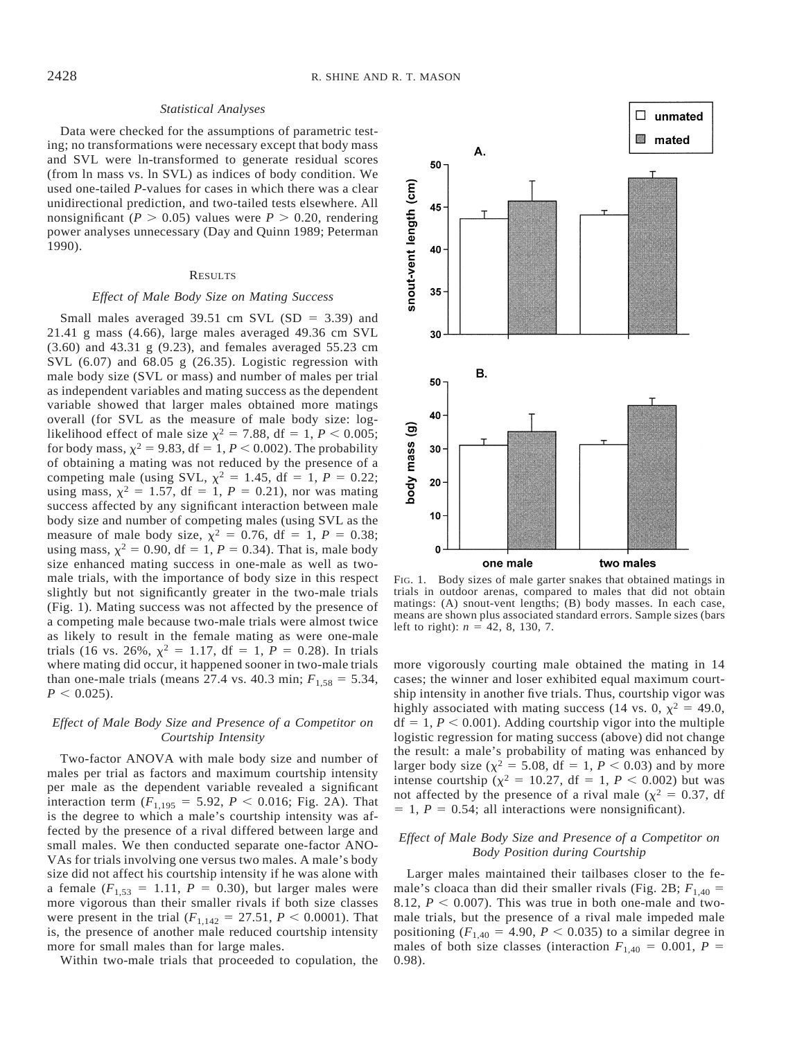## *Statistical Analyses*

Data were checked for the assumptions of parametric testing; no transformations were necessary except that body mass and SVL were ln-transformed to generate residual scores (from ln mass vs. ln SVL) as indices of body condition. We used one-tailed *P*-values for cases in which there was a clear unidirectional prediction, and two-tailed tests elsewhere. All nonsignificant ( $P > 0.05$ ) values were  $P > 0.20$ , rendering power analyses unnecessary (Day and Quinn 1989; Peterman 1990).

## **RESULTS**

#### *Effect of Male Body Size on Mating Success*

Small males averaged 39.51 cm SVL (SD =  $3.39$ ) and 21.41 g mass (4.66), large males averaged 49.36 cm SVL (3.60) and 43.31 g (9.23), and females averaged 55.23 cm SVL (6.07) and 68.05 g (26.35). Logistic regression with male body size (SVL or mass) and number of males per trial as independent variables and mating success as the dependent variable showed that larger males obtained more matings overall (for SVL as the measure of male body size: loglikelihood effect of male size  $\chi^2 = 7.88$ , df = 1, *P* < 0.005; for body mass,  $\chi^2 = 9.83$ , df = 1, *P* < 0.002). The probability of obtaining a mating was not reduced by the presence of a competing male (using SVL,  $\chi^2 = 1.45$ , df = 1, *P* = 0.22; using mass,  $\chi^2 = 1.57$ , df = 1, *P* = 0.21), nor was mating success affected by any significant interaction between male body size and number of competing males (using SVL as the measure of male body size,  $x^2 = 0.76$ , df = 1, *P* = 0.38; using mass,  $\chi^2 = 0.90$ , df = 1, *P* = 0.34). That is, male body size enhanced mating success in one-male as well as twomale trials, with the importance of body size in this respect slightly but not significantly greater in the two-male trials (Fig. 1). Mating success was not affected by the presence of a competing male because two-male trials were almost twice as likely to result in the female mating as were one-male trials (16 vs. 26%,  $\chi^2 = 1.17$ , df = 1, *P* = 0.28). In trials where mating did occur, it happened sooner in two-male trials than one-male trials (means 27.4 vs. 40.3 min;  $F_{1,58} = 5.34$ ,  $P < 0.025$ ).

## *Effect of Male Body Size and Presence of a Competitor on Courtship Intensity*

Two-factor ANOVA with male body size and number of males per trial as factors and maximum courtship intensity per male as the dependent variable revealed a significant interaction term ( $F_{1,195} = 5.92$ ,  $P < 0.016$ ; Fig. 2A). That is the degree to which a male's courtship intensity was affected by the presence of a rival differed between large and small males. We then conducted separate one-factor ANO-VAs for trials involving one versus two males. A male's body size did not affect his courtship intensity if he was alone with a female  $(F_{1,53} = 1.11, P = 0.30)$ , but larger males were more vigorous than their smaller rivals if both size classes were present in the trial  $(F_{1,142} = 27.51, P \le 0.0001)$ . That is, the presence of another male reduced courtship intensity more for small males than for large males.

Within two-male trials that proceeded to copulation, the



FIG. 1. Body sizes of male garter snakes that obtained matings in trials in outdoor arenas, compared to males that did not obtain matings: (A) snout-vent lengths; (B) body masses. In each case, means are shown plus associated standard errors. Sample sizes (bars left to right):  $n = 42, 8, 130, 7$ .

more vigorously courting male obtained the mating in 14 cases; the winner and loser exhibited equal maximum courtship intensity in another five trials. Thus, courtship vigor was highly associated with mating success (14 vs. 0,  $\chi^2 = 49.0$ ,  $df = 1, P < 0.001$ ). Adding courtship vigor into the multiple logistic regression for mating success (above) did not change the result: a male's probability of mating was enhanced by larger body size ( $\chi^2$  = 5.08, df = 1, *P* < 0.03) and by more intense courtship ( $\chi^2 = 10.27$ , df = 1, *P* < 0.002) but was not affected by the presence of a rival male ( $\chi^2 = 0.37$ , df  $= 1, P = 0.54$ ; all interactions were nonsignificant).

# *Effect of Male Body Size and Presence of a Competitor on Body Position during Courtship*

Larger males maintained their tailbases closer to the female's cloaca than did their smaller rivals (Fig. 2B;  $F_{1,40}$  = 8.12,  $P < 0.007$ ). This was true in both one-male and twomale trials, but the presence of a rival male impeded male positioning  $(F_{1,40} = 4.90, P < 0.035)$  to a similar degree in males of both size classes (interaction  $F_{1,40} = 0.001$ ,  $P =$ 0.98).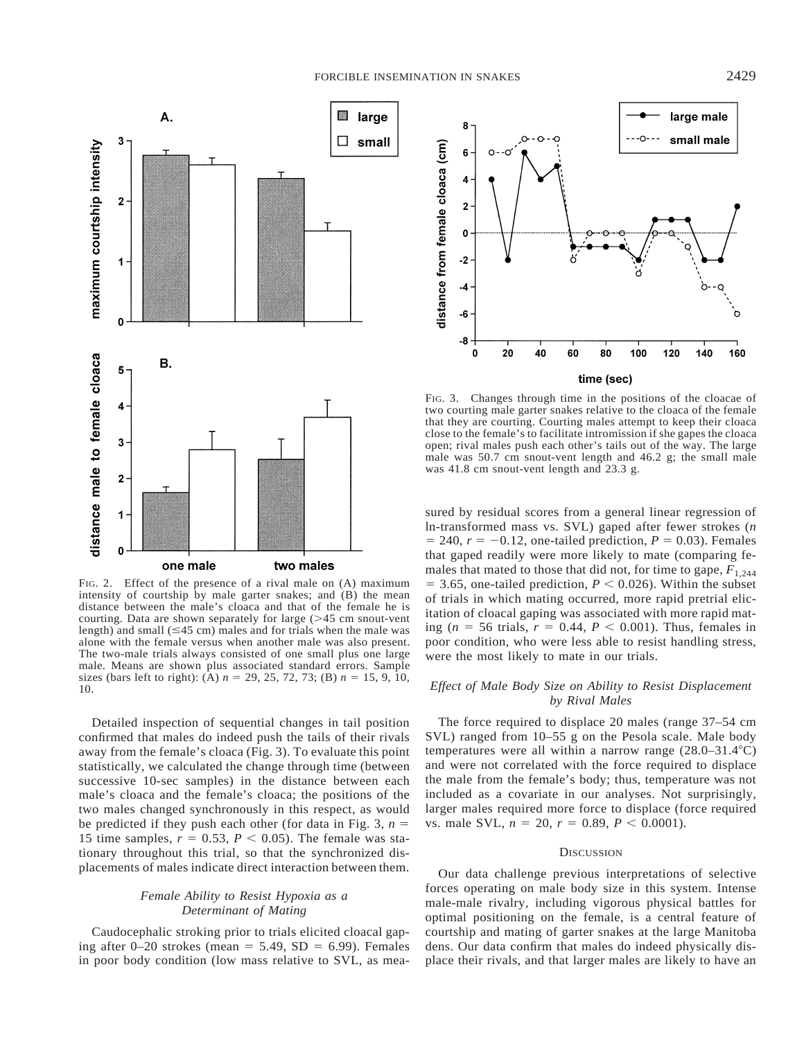

FIG. 2. Effect of the presence of a rival male on (A) maximum intensity of courtship by male garter snakes; and (B) the mean distance between the male's cloaca and that of the female he is courting. Data are shown separately for large  $($ >45 cm snout-vent length) and small  $(\leq 45 \text{ cm})$  males and for trials when the male was alone with the female versus when another male was also present. The two-male trials always consisted of one small plus one large male. Means are shown plus associated standard errors. Sample sizes (bars left to right): (A)  $n = 29, 25, 72, 73$ ; (B)  $n = 15, 9, 10$ , 10.

Detailed inspection of sequential changes in tail position confirmed that males do indeed push the tails of their rivals away from the female's cloaca (Fig. 3). To evaluate this point statistically, we calculated the change through time (between successive 10-sec samples) in the distance between each male's cloaca and the female's cloaca; the positions of the two males changed synchronously in this respect, as would be predicted if they push each other (for data in Fig. 3,  $n =$ 15 time samples,  $r = 0.53$ ,  $P < 0.05$ ). The female was stationary throughout this trial, so that the synchronized displacements of males indicate direct interaction between them.

## *Female Ability to Resist Hypoxia as a Determinant of Mating*

Caudocephalic stroking prior to trials elicited cloacal gaping after 0–20 strokes (mean =  $5.49$ , SD =  $6.99$ ). Females in poor body condition (low mass relative to SVL, as mea-



FIG. 3. Changes through time in the positions of the cloacae of two courting male garter snakes relative to the cloaca of the female that they are courting. Courting males attempt to keep their cloaca close to the female's to facilitate intromission if she gapes the cloaca open; rival males push each other's tails out of the way. The large male was 50.7 cm snout-vent length and 46.2 g; the small male was 41.8 cm snout-vent length and 23.3 g.

sured by residual scores from a general linear regression of ln-transformed mass vs. SVL) gaped after fewer strokes (*n*  $= 240$ ,  $r = -0.12$ , one-tailed prediction,  $P = 0.03$ ). Females that gaped readily were more likely to mate (comparing females that mated to those that did not, for time to gape,  $F_{1,244}$  $=$  3.65, one-tailed prediction,  $P \le 0.026$ ). Within the subset of trials in which mating occurred, more rapid pretrial elicitation of cloacal gaping was associated with more rapid mating ( $n = 56$  trials,  $r = 0.44$ ,  $P < 0.001$ ). Thus, females in poor condition, who were less able to resist handling stress, were the most likely to mate in our trials.

# *Effect of Male Body Size on Ability to Resist Displacement by Rival Males*

The force required to displace 20 males (range 37–54 cm SVL) ranged from 10–55 g on the Pesola scale. Male body temperatures were all within a narrow range  $(28.0-31.4^{\circ}C)$ and were not correlated with the force required to displace the male from the female's body; thus, temperature was not included as a covariate in our analyses. Not surprisingly, larger males required more force to displace (force required vs. male SVL,  $n = 20$ ,  $r = 0.89$ ,  $P < 0.0001$ ).

## **DISCUSSION**

Our data challenge previous interpretations of selective forces operating on male body size in this system. Intense male-male rivalry, including vigorous physical battles for optimal positioning on the female, is a central feature of courtship and mating of garter snakes at the large Manitoba dens. Our data confirm that males do indeed physically displace their rivals, and that larger males are likely to have an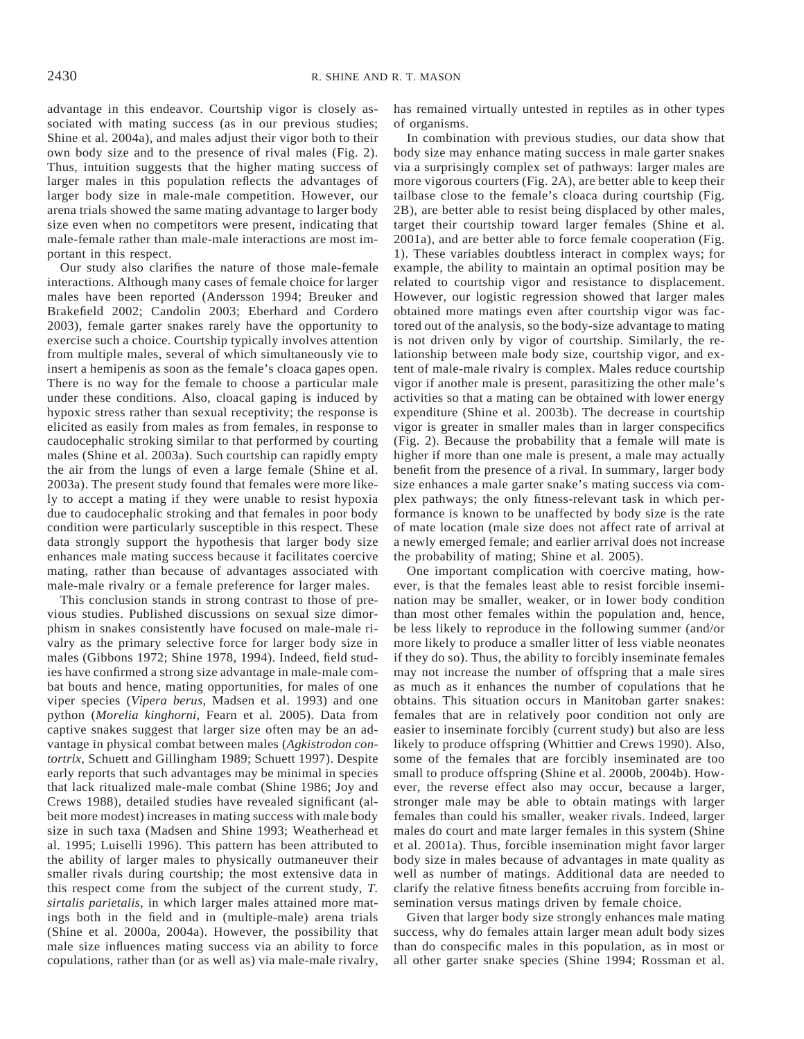advantage in this endeavor. Courtship vigor is closely associated with mating success (as in our previous studies; Shine et al. 2004a), and males adjust their vigor both to their own body size and to the presence of rival males (Fig. 2). Thus, intuition suggests that the higher mating success of larger males in this population reflects the advantages of larger body size in male-male competition. However, our arena trials showed the same mating advantage to larger body size even when no competitors were present, indicating that male-female rather than male-male interactions are most important in this respect.

Our study also clarifies the nature of those male-female interactions. Although many cases of female choice for larger males have been reported (Andersson 1994; Breuker and Brakefield 2002; Candolin 2003; Eberhard and Cordero 2003), female garter snakes rarely have the opportunity to exercise such a choice. Courtship typically involves attention from multiple males, several of which simultaneously vie to insert a hemipenis as soon as the female's cloaca gapes open. There is no way for the female to choose a particular male under these conditions. Also, cloacal gaping is induced by hypoxic stress rather than sexual receptivity; the response is elicited as easily from males as from females, in response to caudocephalic stroking similar to that performed by courting males (Shine et al. 2003a). Such courtship can rapidly empty the air from the lungs of even a large female (Shine et al. 2003a). The present study found that females were more likely to accept a mating if they were unable to resist hypoxia due to caudocephalic stroking and that females in poor body condition were particularly susceptible in this respect. These data strongly support the hypothesis that larger body size enhances male mating success because it facilitates coercive mating, rather than because of advantages associated with male-male rivalry or a female preference for larger males.

This conclusion stands in strong contrast to those of previous studies. Published discussions on sexual size dimorphism in snakes consistently have focused on male-male rivalry as the primary selective force for larger body size in males (Gibbons 1972; Shine 1978, 1994). Indeed, field studies have confirmed a strong size advantage in male-male combat bouts and hence, mating opportunities, for males of one viper species (*Vipera berus*, Madsen et al. 1993) and one python (*Morelia kinghorni*, Fearn et al. 2005). Data from captive snakes suggest that larger size often may be an advantage in physical combat between males (*Agkistrodon contortrix*, Schuett and Gillingham 1989; Schuett 1997). Despite early reports that such advantages may be minimal in species that lack ritualized male-male combat (Shine 1986; Joy and Crews 1988), detailed studies have revealed significant (albeit more modest) increases in mating success with male body size in such taxa (Madsen and Shine 1993; Weatherhead et al. 1995; Luiselli 1996). This pattern has been attributed to the ability of larger males to physically outmaneuver their smaller rivals during courtship; the most extensive data in this respect come from the subject of the current study, *T. sirtalis parietalis*, in which larger males attained more matings both in the field and in (multiple-male) arena trials (Shine et al. 2000a, 2004a). However, the possibility that male size influences mating success via an ability to force copulations, rather than (or as well as) via male-male rivalry, has remained virtually untested in reptiles as in other types of organisms.

In combination with previous studies, our data show that body size may enhance mating success in male garter snakes via a surprisingly complex set of pathways: larger males are more vigorous courters (Fig. 2A), are better able to keep their tailbase close to the female's cloaca during courtship (Fig. 2B), are better able to resist being displaced by other males, target their courtship toward larger females (Shine et al. 2001a), and are better able to force female cooperation (Fig. 1). These variables doubtless interact in complex ways; for example, the ability to maintain an optimal position may be related to courtship vigor and resistance to displacement. However, our logistic regression showed that larger males obtained more matings even after courtship vigor was factored out of the analysis, so the body-size advantage to mating is not driven only by vigor of courtship. Similarly, the relationship between male body size, courtship vigor, and extent of male-male rivalry is complex. Males reduce courtship vigor if another male is present, parasitizing the other male's activities so that a mating can be obtained with lower energy expenditure (Shine et al. 2003b). The decrease in courtship vigor is greater in smaller males than in larger conspecifics (Fig. 2). Because the probability that a female will mate is higher if more than one male is present, a male may actually benefit from the presence of a rival. In summary, larger body size enhances a male garter snake's mating success via complex pathways; the only fitness-relevant task in which performance is known to be unaffected by body size is the rate of mate location (male size does not affect rate of arrival at a newly emerged female; and earlier arrival does not increase the probability of mating; Shine et al. 2005).

One important complication with coercive mating, however, is that the females least able to resist forcible insemination may be smaller, weaker, or in lower body condition than most other females within the population and, hence, be less likely to reproduce in the following summer (and/or more likely to produce a smaller litter of less viable neonates if they do so). Thus, the ability to forcibly inseminate females may not increase the number of offspring that a male sires as much as it enhances the number of copulations that he obtains. This situation occurs in Manitoban garter snakes: females that are in relatively poor condition not only are easier to inseminate forcibly (current study) but also are less likely to produce offspring (Whittier and Crews 1990). Also, some of the females that are forcibly inseminated are too small to produce offspring (Shine et al. 2000b, 2004b). However, the reverse effect also may occur, because a larger, stronger male may be able to obtain matings with larger females than could his smaller, weaker rivals. Indeed, larger males do court and mate larger females in this system (Shine et al. 2001a). Thus, forcible insemination might favor larger body size in males because of advantages in mate quality as well as number of matings. Additional data are needed to clarify the relative fitness benefits accruing from forcible insemination versus matings driven by female choice.

Given that larger body size strongly enhances male mating success, why do females attain larger mean adult body sizes than do conspecific males in this population, as in most or all other garter snake species (Shine 1994; Rossman et al.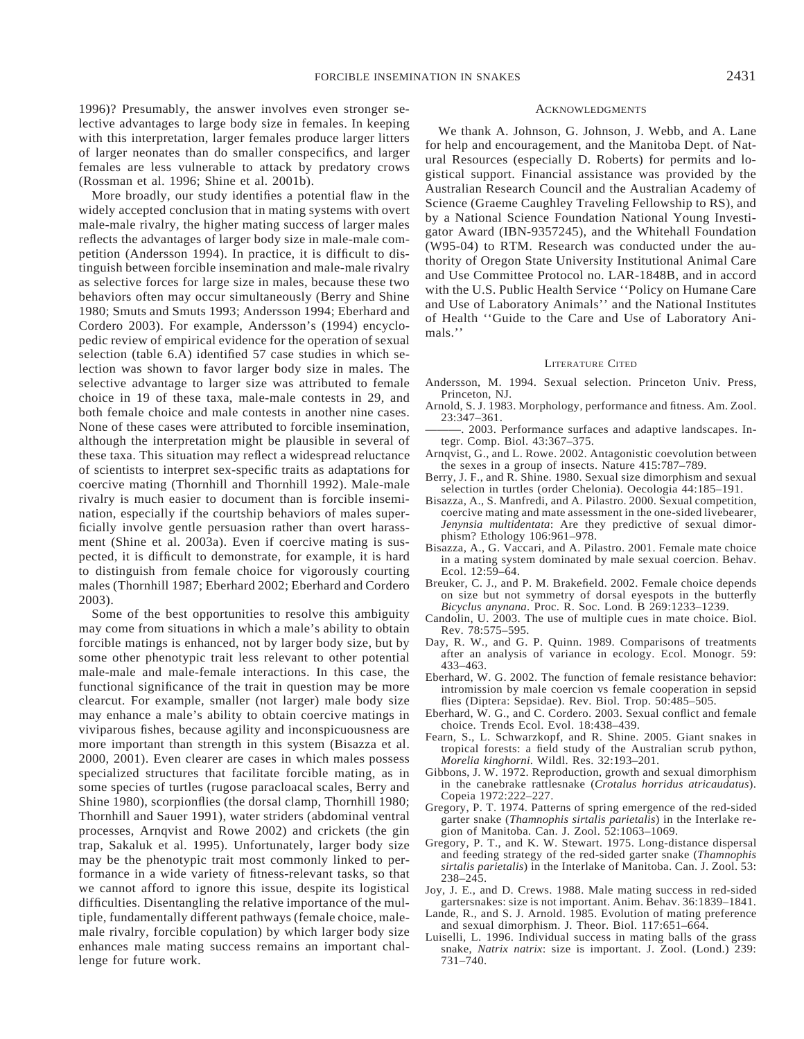1996)? Presumably, the answer involves even stronger selective advantages to large body size in females. In keeping with this interpretation, larger females produce larger litters of larger neonates than do smaller conspecifics, and larger females are less vulnerable to attack by predatory crows (Rossman et al. 1996; Shine et al. 2001b).

More broadly, our study identifies a potential flaw in the widely accepted conclusion that in mating systems with overt male-male rivalry, the higher mating success of larger males reflects the advantages of larger body size in male-male competition (Andersson 1994). In practice, it is difficult to distinguish between forcible insemination and male-male rivalry as selective forces for large size in males, because these two behaviors often may occur simultaneously (Berry and Shine 1980; Smuts and Smuts 1993; Andersson 1994; Eberhard and Cordero 2003). For example, Andersson's (1994) encyclopedic review of empirical evidence for the operation of sexual selection (table 6.A) identified 57 case studies in which selection was shown to favor larger body size in males. The selective advantage to larger size was attributed to female choice in 19 of these taxa, male-male contests in 29, and both female choice and male contests in another nine cases. None of these cases were attributed to forcible insemination, although the interpretation might be plausible in several of these taxa. This situation may reflect a widespread reluctance of scientists to interpret sex-specific traits as adaptations for coercive mating (Thornhill and Thornhill 1992). Male-male rivalry is much easier to document than is forcible insemination, especially if the courtship behaviors of males superficially involve gentle persuasion rather than overt harassment (Shine et al. 2003a). Even if coercive mating is suspected, it is difficult to demonstrate, for example, it is hard to distinguish from female choice for vigorously courting males (Thornhill 1987; Eberhard 2002; Eberhard and Cordero 2003).

Some of the best opportunities to resolve this ambiguity may come from situations in which a male's ability to obtain forcible matings is enhanced, not by larger body size, but by some other phenotypic trait less relevant to other potential male-male and male-female interactions. In this case, the functional significance of the trait in question may be more clearcut. For example, smaller (not larger) male body size may enhance a male's ability to obtain coercive matings in viviparous fishes, because agility and inconspicuousness are more important than strength in this system (Bisazza et al. 2000, 2001). Even clearer are cases in which males possess specialized structures that facilitate forcible mating, as in some species of turtles (rugose paracloacal scales, Berry and Shine 1980), scorpionflies (the dorsal clamp, Thornhill 1980; Thornhill and Sauer 1991), water striders (abdominal ventral processes, Arnqvist and Rowe 2002) and crickets (the gin trap, Sakaluk et al. 1995). Unfortunately, larger body size may be the phenotypic trait most commonly linked to performance in a wide variety of fitness-relevant tasks, so that we cannot afford to ignore this issue, despite its logistical difficulties. Disentangling the relative importance of the multiple, fundamentally different pathways (female choice, malemale rivalry, forcible copulation) by which larger body size enhances male mating success remains an important challenge for future work.

#### **ACKNOWLEDGMENTS**

We thank A. Johnson, G. Johnson, J. Webb, and A. Lane for help and encouragement, and the Manitoba Dept. of Natural Resources (especially D. Roberts) for permits and logistical support. Financial assistance was provided by the Australian Research Council and the Australian Academy of Science (Graeme Caughley Traveling Fellowship to RS), and by a National Science Foundation National Young Investigator Award (IBN-9357245), and the Whitehall Foundation (W95-04) to RTM. Research was conducted under the authority of Oregon State University Institutional Animal Care and Use Committee Protocol no. LAR-1848B, and in accord with the U.S. Public Health Service ''Policy on Humane Care and Use of Laboratory Animals'' and the National Institutes of Health ''Guide to the Care and Use of Laboratory Animals.''

#### LITERATURE CITED

- Andersson, M. 1994. Sexual selection. Princeton Univ. Press, Princeton, NJ.
- Arnold, S. J. 1983. Morphology, performance and fitness. Am. Zool. 23:347–361.
- -. 2003. Performance surfaces and adaptive landscapes. Integr. Comp. Biol. 43:367–375.
- Arnqvist, G., and L. Rowe. 2002. Antagonistic coevolution between the sexes in a group of insects. Nature 415:787–789.
- Berry, J. F., and R. Shine. 1980. Sexual size dimorphism and sexual selection in turtles (order Chelonia). Oecologia 44:185–191.
- Bisazza, A., S. Manfredi, and A. Pilastro. 2000. Sexual competition, coercive mating and mate assessment in the one-sided livebearer, *Jenynsia multidentata*: Are they predictive of sexual dimorphism? Ethology 106:961–978.
- Bisazza, A., G. Vaccari, and A. Pilastro. 2001. Female mate choice in a mating system dominated by male sexual coercion. Behav. Ecol. 12:59–64.
- Breuker, C. J., and P. M. Brakefield. 2002. Female choice depends on size but not symmetry of dorsal eyespots in the butterfly *Bicyclus anynana*. Proc. R. Soc. Lond. B 269:1233–1239.
- Candolin, U. 2003. The use of multiple cues in mate choice. Biol. Rev. 78:575–595.
- Day, R. W., and G. P. Quinn. 1989. Comparisons of treatments after an analysis of variance in ecology. Ecol. Monogr. 59: 433–463.
- Eberhard, W. G. 2002. The function of female resistance behavior: intromission by male coercion vs female cooperation in sepsid flies (Diptera: Sepsidae). Rev. Biol. Trop. 50:485–505.
- Eberhard, W. G., and C. Cordero. 2003. Sexual conflict and female choice. Trends Ecol. Evol. 18:438–439.
- Fearn, S., L. Schwarzkopf, and R. Shine. 2005. Giant snakes in tropical forests: a field study of the Australian scrub python, *Morelia kinghorni*. Wildl. Res. 32:193–201.
- Gibbons, J. W. 1972. Reproduction, growth and sexual dimorphism in the canebrake rattlesnake (*Crotalus horridus atricaudatus*). Copeia 1972:222–227.
- Gregory, P. T. 1974. Patterns of spring emergence of the red-sided garter snake (*Thamnophis sirtalis parietalis*) in the Interlake region of Manitoba. Can. J. Zool. 52:1063–1069.
- Gregory, P. T., and K. W. Stewart. 1975. Long-distance dispersal and feeding strategy of the red-sided garter snake (*Thamnophis sirtalis parietalis*) in the Interlake of Manitoba. Can. J. Zool. 53: 238–245.
- Joy, J. E., and D. Crews. 1988. Male mating success in red-sided gartersnakes: size is not important. Anim. Behav. 36:1839–1841.
- Lande, R., and S. J. Arnold. 1985. Evolution of mating preference and sexual dimorphism. J. Theor. Biol. 117:651–664.
- Luiselli, L. 1996. Individual success in mating balls of the grass snake, *Natrix natrix*: size is important. J. Zool. (Lond.) 239: 731–740.